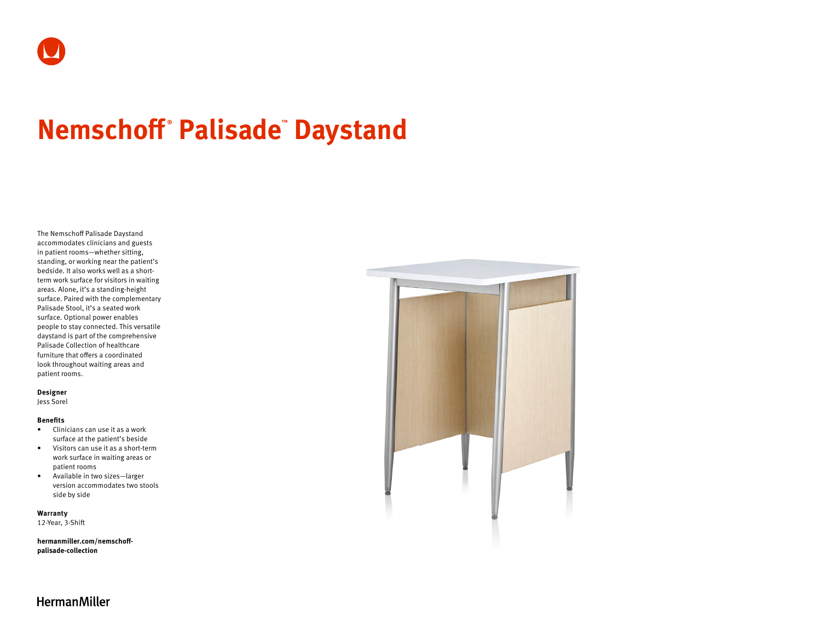# **Nemschoff ® Palisade™ Daystand**

The Nemschoff Palisade Daystand accommodates clinicians and guests in patient rooms—whether sitting, standing, or working near the patient's bedside. It also works well as a shortterm work surface for visitors in waiting areas. Alone, it's a standing-height surface. Paired with the complementary Palisade Stool, it's a seated work surface. Optional power enables people to stay connected. This versatile daystand is part of the comprehensive Palisade Collection of healthcare furniture that offers a coordinated look throughout waiting areas and patient rooms.

#### **Designer**

Jess Sorel

#### **Benefits**

- Clinicians can use it as a work surface at the patient's beside
- Visitors can use it as a short-term work surface in waiting areas or patient rooms
- Available in two sizes—larger version accommodates two stools side by side

**Warranty**  12-Year, 3-Shift

**[hermanmiller.com/nemschoff](http://hermanmiller.com/nemschoff-palisade-collection)[palisade-collection](http://hermanmiller.com/nemschoff-palisade-collection)**